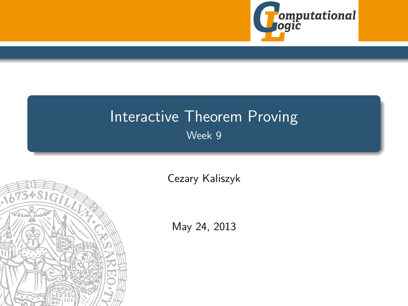

# Interactive Theorem Proving Week 9

<span id="page-0-0"></span>

[Cezary Kaliszyk](http://cl-informatik.uibk.ac.at/~cek)

May 24, 2013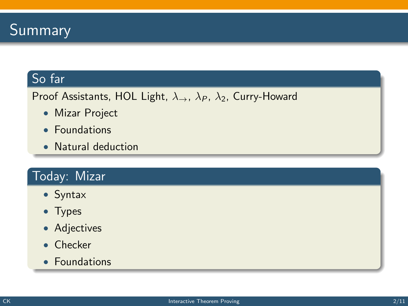

#### So far

Proof Assistants, HOL Light,  $\lambda_{\rightarrow}$ ,  $\lambda_{P}$ ,  $\lambda_{2}$ , Curry-Howard

- Mizar Project
- Foundations
- Natural deduction

## Today: Mizar

- Syntax
- Types
- Adjectives
- Checker
- Foundations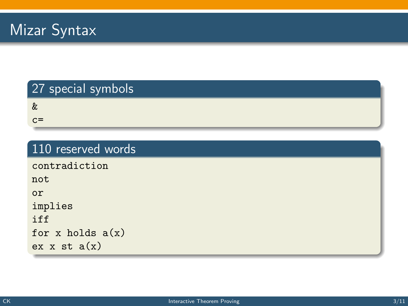### 27 special symbols

&

 $c=$ 

#### 110 reserved words

contradiction

not or

implies

iff

for x holds  $a(x)$ 

ex  $x$  st  $a(x)$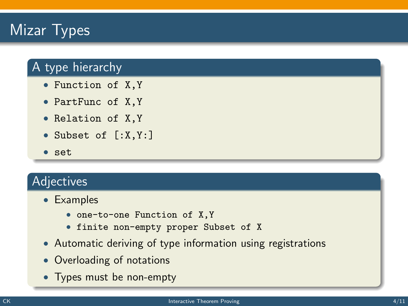# Mizar Types

## A type hierarchy

- Function of X,Y
- PartFunc of X,Y
- Relation of X,Y
- Subset of [:X,Y:]
- set

#### Adjectives

- Examples
	- one-to-one Function of X,Y
	- finite non-empty proper Subset of X
- Automatic deriving of type information using registrations
- Overloading of notations
- Types must be non-empty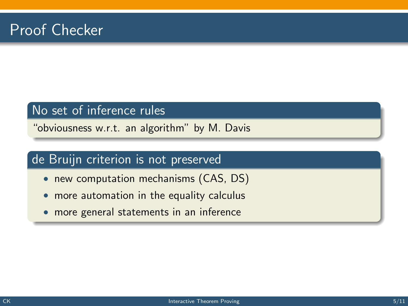#### No set of inference rules

"obviousness w.r.t. an algorithm" by M. Davis

#### de Bruijn criterion is not preserved

- new computation mechanisms (CAS, DS)
- more automation in the equality calculus
- more general statements in an inference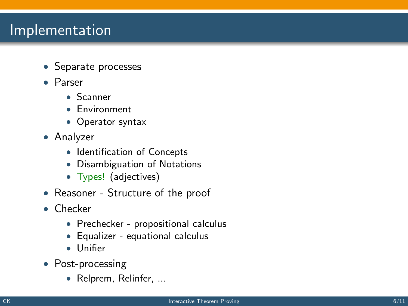# Implementation

- Separate processes
- Parser
	- Scanner
	- Environment
	- Operator syntax
- Analyzer
	- Identification of Concepts
	- Disambiguation of Notations
	- Types! (adjectives)
- Reasoner Structure of the proof
- Checker
	- Prechecker propositional calculus
	- Equalizer equational calculus
	- Unifier
- Post-processing
	- Relprem, Relinfer, ...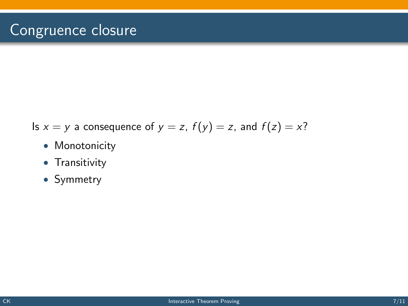- Is  $x = y$  a consequence of  $y = z$ ,  $f(y) = z$ , and  $f(z) = x$ ?
	- Monotonicity
	- Transitivity
	- Symmetry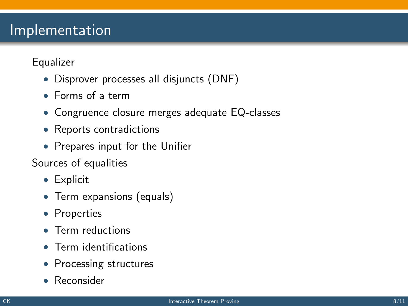# Implementation

Equalizer

- Disprover processes all disjuncts (DNF)
- Forms of a term
- Congruence closure merges adequate EQ-classes
- Reports contradictions
- Prepares input for the Unifier

Sources of equalities

- Explicit
- Term expansions (equals)
- Properties
- Term reductions
- Term identifications
- Processing structures
- Reconsider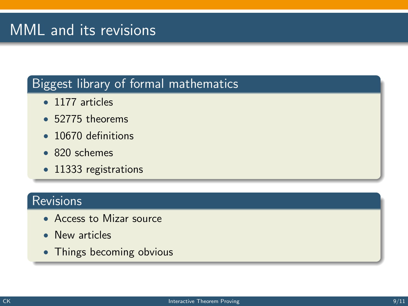# MML and its revisions

#### Biggest library of formal mathematics

- 1177 articles
- 52775 theorems
- 10670 definitions
- 820 schemes
- 11333 registrations

## Revisions

- Access to Mizar source
- New articles
- Things becoming obvious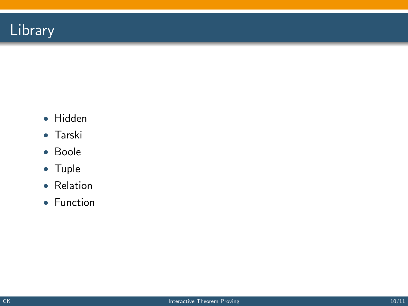

- Hidden
- Tarski
- Boole
- Tuple
- Relation
- Function